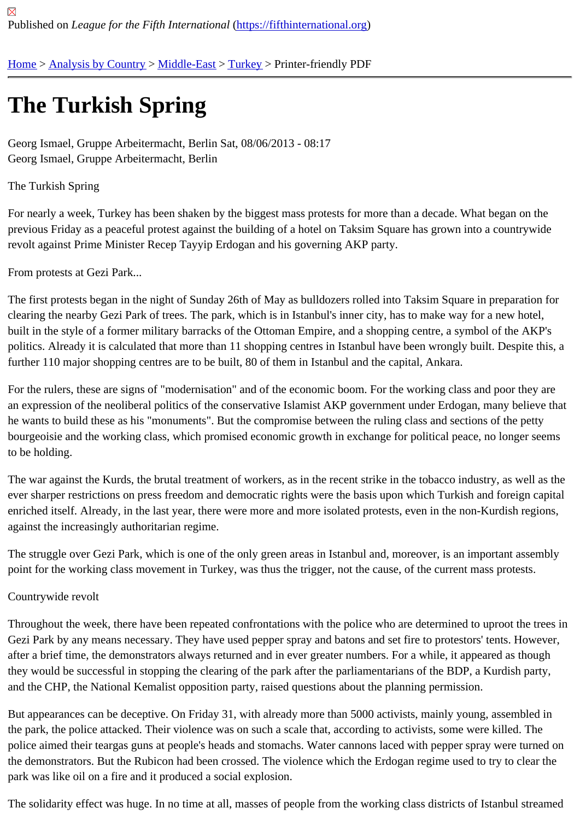## [The](https://fifthinternational.org/) [Turkish S](https://fifthinternational.org/category/1)[pring](https://fifthinternational.org/category/1/178)

Georg Ismael, Gruppe Arbeitermacht, Berlin Sat, 08/06/2013 - 08:17 Georg Ismael, Gruppe Arbeitermacht, Berlin

The Turkish Spring

For nearly a week, Turkey has been shaken by the biggest mass protests for more than a decade. What began on previous Friday as a peaceful protest against the building of a hotel on Taksim Square has grown into a countrywi revolt against Prime Minister Recep Tayyip Erdogan and his governing AKP party.

From protests at Gezi Park...

The first protests began in the night of Sunday 26th of May as bulldozers rolled into Taksim Square in preparation clearing the nearby Gezi Park of trees. The park, which is in Istanbul's inner city, has to make way for a new hotel, built in the style of a former military barracks of the Ottoman Empire, and a shopping centre, a symbol of the AKP's politics. Already it is calculated that more than 11 shopping centres in Istanbul have been wrongly built. Despite th further 110 major shopping centres are to be built, 80 of them in Istanbul and the capital, Ankara.

For the rulers, these are signs of "modernisation" and of the economic boom. For the working class and poor they an expression of the neoliberal politics of the conservative Islamist AKP government under Erdogan, many believe he wants to build these as his "monuments". But the compromise between the ruling class and sections of the pet bourgeoisie and the working class, which promised economic growth in exchange for political peace, no longer se to be holding.

The war against the Kurds, the brutal treatment of workers, as in the recent strike in the tobacco industry, as well a ever sharper restrictions on press freedom and democratic rights were the basis upon which Turkish and foreign c enriched itself. Already, in the last year, there were more and more isolated protests, even in the non-Kurdish regio against the increasingly authoritarian regime.

The struggle over Gezi Park, which is one of the only green areas in Istanbul and, moreover, is an important asser point for the working class movement in Turkey, was thus the trigger, not the cause, of the current mass protests.

## Countrywide revolt

Throughout the week, there have been repeated confrontations with the police who are determined to uproot the ti Gezi Park by any means necessary. They have used pepper spray and batons and set fire to protestors' tents. Ho after a brief time, the demonstrators always returned and in ever greater numbers. For a while, it appeared as though they would be successful in stopping the clearing of the park after the parliamentarians of the BDP, a Kurdish part and the CHP, the National Kemalist opposition party, raised questions about the planning permission.

But appearances can be deceptive. On Friday 31, with already more than 5000 activists, mainly young, assembled the park, the police attacked. Their violence was on such a scale that, according to activists, some were killed. The police aimed their teargas guns at people's heads and stomachs. Water cannons laced with pepper spray were tui the demonstrators. But the Rubicon had been crossed. The violence which the Erdogan regime used to try to clea park was like oil on a fire and it produced a social explosion.

The solidarity effect was huge. In no time at all, masses of people from the working class districts of Istanbul strea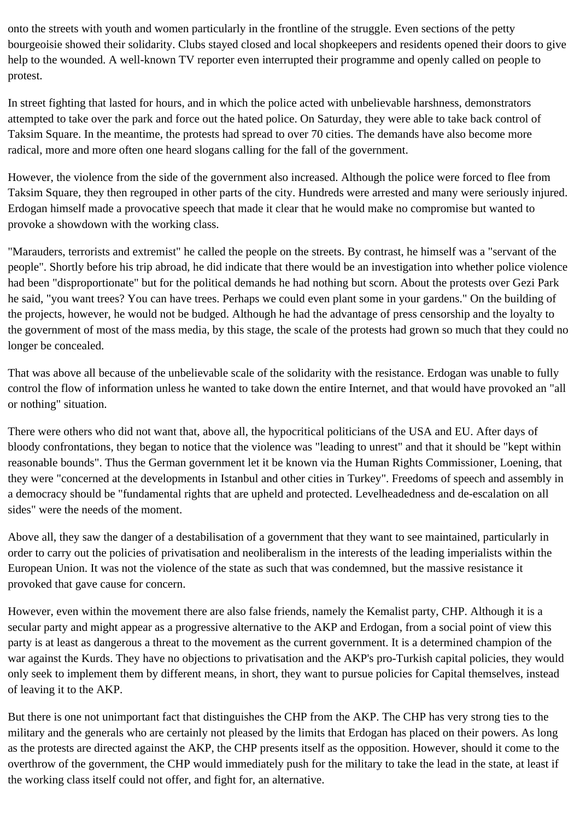onto the streets with youth and women particularly in the frontline of the struggle. Even sections of the petty bourgeoisie showed their solidarity. Clubs stayed closed and local shopkeepers and residents opened their doors to give help to the wounded. A well-known TV reporter even interrupted their programme and openly called on people to protest.

In street fighting that lasted for hours, and in which the police acted with unbelievable harshness, demonstrators attempted to take over the park and force out the hated police. On Saturday, they were able to take back control of Taksim Square. In the meantime, the protests had spread to over 70 cities. The demands have also become more radical, more and more often one heard slogans calling for the fall of the government.

However, the violence from the side of the government also increased. Although the police were forced to flee from Taksim Square, they then regrouped in other parts of the city. Hundreds were arrested and many were seriously injured. Erdogan himself made a provocative speech that made it clear that he would make no compromise but wanted to provoke a showdown with the working class.

"Marauders, terrorists and extremist" he called the people on the streets. By contrast, he himself was a "servant of the people". Shortly before his trip abroad, he did indicate that there would be an investigation into whether police violence had been "disproportionate" but for the political demands he had nothing but scorn. About the protests over Gezi Park he said, "you want trees? You can have trees. Perhaps we could even plant some in your gardens." On the building of the projects, however, he would not be budged. Although he had the advantage of press censorship and the loyalty to the government of most of the mass media, by this stage, the scale of the protests had grown so much that they could no longer be concealed.

That was above all because of the unbelievable scale of the solidarity with the resistance. Erdogan was unable to fully control the flow of information unless he wanted to take down the entire Internet, and that would have provoked an "all or nothing" situation.

There were others who did not want that, above all, the hypocritical politicians of the USA and EU. After days of bloody confrontations, they began to notice that the violence was "leading to unrest" and that it should be "kept within reasonable bounds". Thus the German government let it be known via the Human Rights Commissioner, Loening, that they were "concerned at the developments in Istanbul and other cities in Turkey". Freedoms of speech and assembly in a democracy should be "fundamental rights that are upheld and protected. Levelheadedness and de-escalation on all sides" were the needs of the moment.

Above all, they saw the danger of a destabilisation of a government that they want to see maintained, particularly in order to carry out the policies of privatisation and neoliberalism in the interests of the leading imperialists within the European Union. It was not the violence of the state as such that was condemned, but the massive resistance it provoked that gave cause for concern.

However, even within the movement there are also false friends, namely the Kemalist party, CHP. Although it is a secular party and might appear as a progressive alternative to the AKP and Erdogan, from a social point of view this party is at least as dangerous a threat to the movement as the current government. It is a determined champion of the war against the Kurds. They have no objections to privatisation and the AKP's pro-Turkish capital policies, they would only seek to implement them by different means, in short, they want to pursue policies for Capital themselves, instead of leaving it to the AKP.

But there is one not unimportant fact that distinguishes the CHP from the AKP. The CHP has very strong ties to the military and the generals who are certainly not pleased by the limits that Erdogan has placed on their powers. As long as the protests are directed against the AKP, the CHP presents itself as the opposition. However, should it come to the overthrow of the government, the CHP would immediately push for the military to take the lead in the state, at least if the working class itself could not offer, and fight for, an alternative.